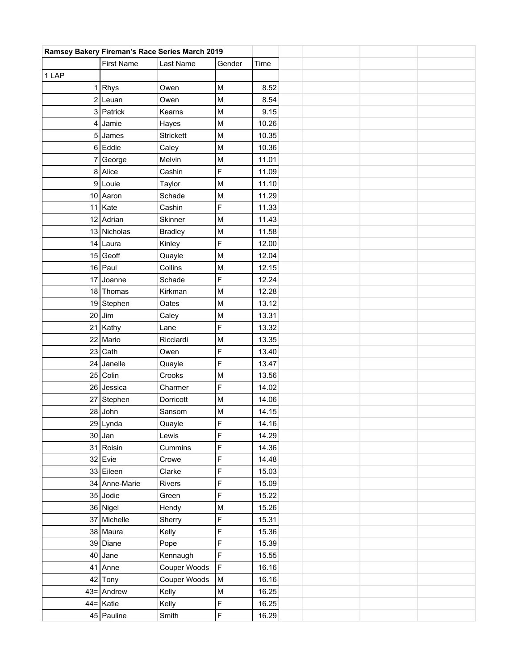| Ramsey Bakery Fireman's Race Series March 2019 |                   |                  |             |       |  |  |  |  |
|------------------------------------------------|-------------------|------------------|-------------|-------|--|--|--|--|
|                                                | <b>First Name</b> | Last Name        | Gender      | Time  |  |  |  |  |
| 1 LAP                                          |                   |                  |             |       |  |  |  |  |
|                                                | $1$ Rhys          | Owen             | M           | 8.52  |  |  |  |  |
|                                                | $2$  Leuan        | Owen             | M           | 8.54  |  |  |  |  |
|                                                | 3 Patrick         | Kearns           | M           | 9.15  |  |  |  |  |
| $\vert 4 \vert$                                | Jamie             | Hayes            | M           | 10.26 |  |  |  |  |
|                                                | $5$ James         | <b>Strickett</b> | M           | 10.35 |  |  |  |  |
|                                                | $6$ Eddie         | Caley            | M           | 10.36 |  |  |  |  |
| 71                                             | George            | Melvin           | M           | 11.01 |  |  |  |  |
|                                                | 8 Alice           | Cashin           | F           | 11.09 |  |  |  |  |
|                                                | $9$ Louie         | Taylor           | M           | 11.10 |  |  |  |  |
|                                                | 10 Aaron          | Schade           | M           | 11.29 |  |  |  |  |
|                                                | $11$ Kate         | Cashin           | F           | 11.33 |  |  |  |  |
|                                                | 12 Adrian         | Skinner          | M           | 11.43 |  |  |  |  |
|                                                | 13 Nicholas       | <b>Bradley</b>   | M           | 11.58 |  |  |  |  |
|                                                | 14 Laura          | Kinley           | F           | 12.00 |  |  |  |  |
|                                                | $15$ Geoff        | Quayle           | M           | 12.04 |  |  |  |  |
|                                                | $16$ Paul         | Collins          | M           | 12.15 |  |  |  |  |
|                                                | 17 Joanne         | Schade           | F           | 12.24 |  |  |  |  |
|                                                | 18 Thomas         | Kirkman          | M           | 12.28 |  |  |  |  |
|                                                | 19 Stephen        | Oates            | M           | 13.12 |  |  |  |  |
| 20                                             | Jim               | Caley            | M           | 13.31 |  |  |  |  |
|                                                | 21 Kathy          | Lane             | F           | 13.32 |  |  |  |  |
|                                                | 22 Mario          | Ricciardi        | M           | 13.35 |  |  |  |  |
|                                                | $23$ Cath         | Owen             | F           | 13.40 |  |  |  |  |
|                                                | $24$ Janelle      | Quayle           | F           | 13.47 |  |  |  |  |
|                                                | 25 Colin          | Crooks           | M           | 13.56 |  |  |  |  |
|                                                | 26 Jessica        | Charmer          | F           | 14.02 |  |  |  |  |
|                                                | 27 Stephen        | Dorricott        | M           | 14.06 |  |  |  |  |
|                                                | $28$ John         | Sansom           | M           | 14.15 |  |  |  |  |
|                                                | $29$ Lynda        | Quayle           | F           | 14.16 |  |  |  |  |
|                                                | $30$ Jan          | Lewis            | F           | 14.29 |  |  |  |  |
|                                                | 31 Roisin         | Cummins          | F           | 14.36 |  |  |  |  |
|                                                | $32$ Evie         | Crowe            | F           | 14.48 |  |  |  |  |
|                                                | 33 Eileen         | Clarke           | F           | 15.03 |  |  |  |  |
|                                                | 34 Anne-Marie     | Rivers           | F           | 15.09 |  |  |  |  |
|                                                | $35$ Jodie        | Green            | F           | 15.22 |  |  |  |  |
|                                                | 36 Nigel          | Hendy            | ${\sf M}$   | 15.26 |  |  |  |  |
|                                                | 37 Michelle       | Sherry           | F           | 15.31 |  |  |  |  |
|                                                | 38 Maura          | Kelly            | F           | 15.36 |  |  |  |  |
|                                                | 39 Diane          | Pope             | F           | 15.39 |  |  |  |  |
|                                                | $40$ Jane         | Kennaugh         | F           | 15.55 |  |  |  |  |
|                                                | $41$ Anne         | Couper Woods     | $\mathsf F$ | 16.16 |  |  |  |  |
|                                                | $42$ Tony         | Couper Woods     | M           | 16.16 |  |  |  |  |
|                                                | $43 =$ Andrew     | Kelly            | ${\sf M}$   | 16.25 |  |  |  |  |
|                                                | $44 = Katic$      | Kelly            | F           | 16.25 |  |  |  |  |
|                                                | 45 Pauline        | Smith            | $\mathsf F$ | 16.29 |  |  |  |  |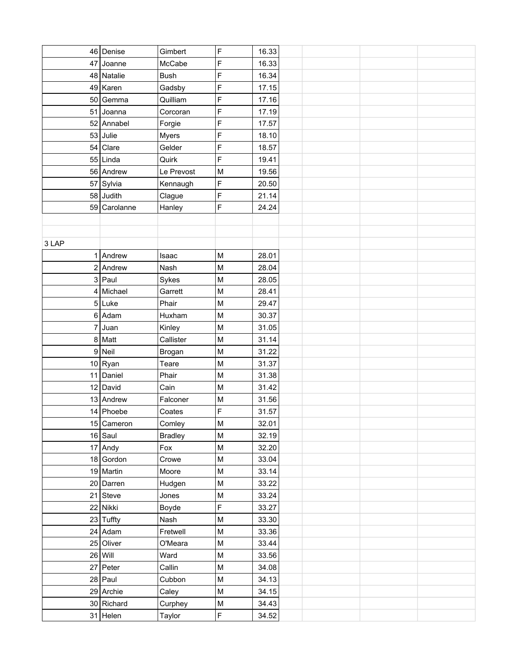|       | 46 Denise    | Gimbert        | F                                                                                     | 16.33 |  |  |
|-------|--------------|----------------|---------------------------------------------------------------------------------------|-------|--|--|
|       | 47 Joanne    | McCabe         | F                                                                                     | 16.33 |  |  |
|       | 48 Natalie   | <b>Bush</b>    | F                                                                                     | 16.34 |  |  |
|       | $49$ Karen   | Gadsby         | F                                                                                     | 17.15 |  |  |
|       | 50 Gemma     | Quilliam       | F                                                                                     | 17.16 |  |  |
|       | 51 Joanna    | Corcoran       | F                                                                                     | 17.19 |  |  |
|       | 52 Annabel   | Forgie         | F                                                                                     | 17.57 |  |  |
|       | $53$ Julie   | Myers          | F                                                                                     | 18.10 |  |  |
| 54    | Clare        | Gelder         | F                                                                                     | 18.57 |  |  |
|       | $55$ Linda   | Quirk          | F                                                                                     | 19.41 |  |  |
|       | 56 Andrew    | Le Prevost     | M                                                                                     | 19.56 |  |  |
|       | 57 Sylvia    | Kennaugh       | F                                                                                     | 20.50 |  |  |
|       | $58$ Judith  | Clague         | F                                                                                     | 21.14 |  |  |
|       | 59 Carolanne | Hanley         | F                                                                                     | 24.24 |  |  |
|       |              |                |                                                                                       |       |  |  |
|       |              |                |                                                                                       |       |  |  |
| 3 LAP |              |                |                                                                                       |       |  |  |
|       | $1$ Andrew   | Isaac          | M                                                                                     | 28.01 |  |  |
|       | $2$ Andrew   | Nash           | M                                                                                     | 28.04 |  |  |
|       | $3$ Paul     | Sykes          | M                                                                                     | 28.05 |  |  |
|       | $4$ Michael  | Garrett        | M                                                                                     | 28.41 |  |  |
|       | $5$ Luke     | Phair          | $\mathsf{M}% _{T}=\mathsf{M}_{T}\!\left( a,b\right) ,\ \mathsf{M}_{T}=\mathsf{M}_{T}$ | 29.47 |  |  |
|       | $6$ Adam     | Huxham         | M                                                                                     | 30.37 |  |  |
|       | $7$ Juan     | Kinley         | M                                                                                     | 31.05 |  |  |
|       | 8 Matt       | Callister      | M                                                                                     | 31.14 |  |  |
|       | $9$ Neil     | Brogan         | M                                                                                     | 31.22 |  |  |
|       | $10$ Ryan    | Teare          | M                                                                                     | 31.37 |  |  |
|       | 11 Daniel    | Phair          | M                                                                                     | 31.38 |  |  |
|       | $12$ David   | Cain           | M                                                                                     | 31.42 |  |  |
|       | 13 Andrew    | Falconer       | M                                                                                     | 31.56 |  |  |
|       | $14$ Phoebe  | Coates         | F                                                                                     | 31.57 |  |  |
|       | 15 Cameron   | Comley         | $\mathsf{M}% _{T}=\mathsf{M}_{T}\!\left( a,b\right) ,\ \mathsf{M}_{T}=\mathsf{M}_{T}$ | 32.01 |  |  |
|       | $16$ Saul    | <b>Bradley</b> | ${\sf M}$                                                                             | 32.19 |  |  |
|       | $17$ Andy    | Fox            | M                                                                                     | 32.20 |  |  |
|       | $18$ Gordon  | Crowe          | ${\sf M}$                                                                             | 33.04 |  |  |
|       | 19 Martin    | Moore          | M                                                                                     | 33.14 |  |  |
|       | 20 Darren    | Hudgen         | ${\sf M}$                                                                             | 33.22 |  |  |
|       | $21$ Steve   | Jones          | ${\sf M}$                                                                             | 33.24 |  |  |
|       | 22 Nikki     | Boyde          | F                                                                                     | 33.27 |  |  |
|       | $23$ Tuffty  | Nash           | M                                                                                     | 33.30 |  |  |
|       | $24$ Adam    | Fretwell       | $\sf M$                                                                               | 33.36 |  |  |
|       | $25$ Oliver  | O'Meara        | ${\sf M}$                                                                             | 33.44 |  |  |
|       | $26$ Will    | Ward           | $\mathsf{M}% _{T}=\mathsf{M}_{T}\!\left( a,b\right) ,\ \mathsf{M}_{T}=\mathsf{M}_{T}$ | 33.56 |  |  |
|       | $27$ Peter   | Callin         | ${\sf M}$                                                                             | 34.08 |  |  |
|       | $28$ Paul    | Cubbon         | ${\sf M}$                                                                             | 34.13 |  |  |
|       | 29 Archie    | Caley          | ${\sf M}$                                                                             | 34.15 |  |  |
|       | 30 Richard   | Curphey        | M                                                                                     | 34.43 |  |  |
|       | $31$ Helen   | Taylor         | F                                                                                     | 34.52 |  |  |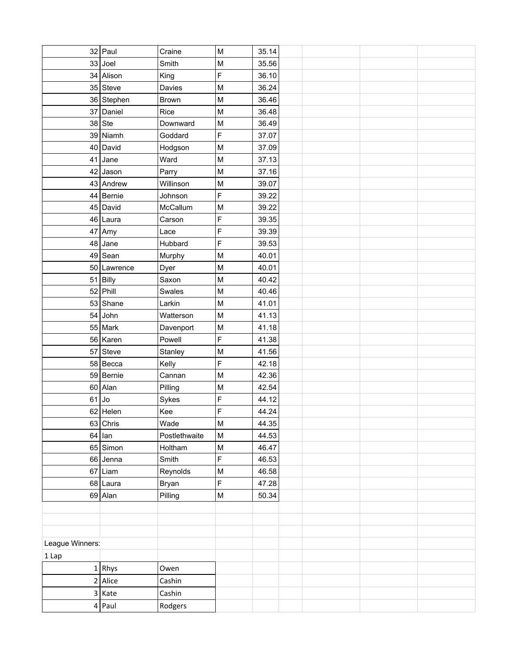|                 | $32$ Paul   | Craine        | M                                                                                     | 35.14          |  |  |  |
|-----------------|-------------|---------------|---------------------------------------------------------------------------------------|----------------|--|--|--|
|                 | $33$ Joel   | Smith         | M                                                                                     | 35.56          |  |  |  |
|                 | 34 Alison   | King          | F                                                                                     | 36.10          |  |  |  |
|                 | $35$ Steve  | Davies        | M                                                                                     | 36.24          |  |  |  |
|                 | 36 Stephen  | <b>Brown</b>  | M                                                                                     | 36.46          |  |  |  |
|                 | 37 Daniel   | Rice          | M                                                                                     | 36.48          |  |  |  |
|                 | $38$ Ste    | Downward      | M                                                                                     | 36.49          |  |  |  |
|                 | 39 Niamh    | Goddard       | F                                                                                     | 37.07          |  |  |  |
|                 | 40 David    | Hodgson       | M                                                                                     | 37.09          |  |  |  |
| 41              | Jane        | Ward          | M                                                                                     | 37.13          |  |  |  |
| 42              | Jason       | Parry         | M                                                                                     | 37.16          |  |  |  |
|                 | 43 Andrew   | Willinson     | M                                                                                     | 39.07          |  |  |  |
|                 | 44 Bernie   | Johnson       | F                                                                                     | 39.22          |  |  |  |
|                 | 45 David    | McCallum      | M                                                                                     | 39.22          |  |  |  |
|                 | 46 Laura    | Carson        | F                                                                                     | 39.35          |  |  |  |
|                 | $47$ Amy    | Lace          | F                                                                                     | 39.39          |  |  |  |
| 48              | Jane        | Hubbard       | F                                                                                     | 39.53          |  |  |  |
|                 | $49$ Sean   | Murphy        | M                                                                                     | 40.01          |  |  |  |
|                 | 50 Lawrence | Dyer          | M                                                                                     | 40.01          |  |  |  |
|                 | $51$ Billy  | Saxon         | M                                                                                     | 40.42          |  |  |  |
|                 | $52$ Phill  | Swales        | M                                                                                     | 40.46          |  |  |  |
|                 | $53$ Shane  | Larkin        | M                                                                                     | 41.01          |  |  |  |
| 54              | John        | Watterson     | M                                                                                     | 41.13          |  |  |  |
|                 | $55$ Mark   | Davenport     | M                                                                                     | 41.18          |  |  |  |
|                 | 56 Karen    | Powell        | F                                                                                     | 41.38          |  |  |  |
|                 | $57$ Steve  | Stanley       | M                                                                                     | 41.56          |  |  |  |
|                 | 58 Becca    | Kelly         | F                                                                                     | 42.18          |  |  |  |
|                 | 59 Bernie   | Cannan        | M                                                                                     | 42.36          |  |  |  |
|                 | $60$ Alan   | Pilling       | M                                                                                     | 42.54          |  |  |  |
|                 | $61$ Jo     | Sykes         | F                                                                                     | 44.12          |  |  |  |
|                 | $62$ Helen  | Kee           | F                                                                                     | 44.24          |  |  |  |
|                 | $63$ Chris  | Wade          | $\mathsf{M}% _{T}=\mathsf{M}_{T}\!\left( a,b\right) ,\ \mathsf{M}_{T}=\mathsf{M}_{T}$ | 44.35          |  |  |  |
|                 | $64$ Ian    | Postlethwaite | ${\sf M}$                                                                             | 44.53          |  |  |  |
|                 | $65$ Simon  | Holtham       | M                                                                                     | 46.47          |  |  |  |
|                 | 66 Jenna    | Smith         | F                                                                                     | 46.53          |  |  |  |
|                 | $67$ Liam   | Reynolds      | M<br>F                                                                                | 46.58          |  |  |  |
|                 | 68 Laura    | Bryan         |                                                                                       | 47.28<br>50.34 |  |  |  |
|                 | $69$ Alan   | Pilling       | ${\sf M}$                                                                             |                |  |  |  |
|                 |             |               |                                                                                       |                |  |  |  |
|                 |             |               |                                                                                       |                |  |  |  |
| League Winners: |             |               |                                                                                       |                |  |  |  |
| 1 Lap           |             |               |                                                                                       |                |  |  |  |
|                 | $1$ Rhys    | Owen          |                                                                                       |                |  |  |  |
|                 | $2$ Alice   | Cashin        |                                                                                       |                |  |  |  |
|                 | $3$ Kate    | Cashin        |                                                                                       |                |  |  |  |
|                 |             |               |                                                                                       |                |  |  |  |
|                 | $4 $ Paul   | Rodgers       |                                                                                       |                |  |  |  |